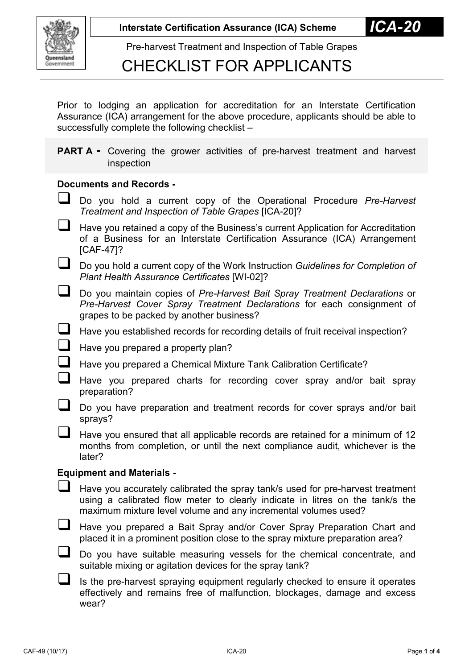

### CHECKLIST FOR APPLICANTS

Prior to lodging an application for accreditation for an Interstate Certification Assurance (ICA) arrangement for the above procedure, applicants should be able to successfully complete the following checklist –

**PART A** - Covering the grower activities of pre-harvest treatment and harvest inspection

#### **Documents and Records -**

- Do you hold a current copy of the Operational Procedure *Pre-Harvest Treatment and Inspection of Table Grapes* [ICA-20]?
- Have you retained a copy of the Business's current Application for Accreditation of a Business for an Interstate Certification Assurance (ICA) Arrangement [CAF-47]?
- Do you hold a current copy of the Work Instruction *Guidelines for Completion of Plant Health Assurance Certificates* [WI-02]?
- Do you maintain copies of *Pre-Harvest Bait Spray Treatment Declarations* or *Pre-Harvest Cover Spray Treatment Declarations* for each consignment of grapes to be packed by another business?
- $\Box$  Have you established records for recording details of fruit receival inspection?
- $\Box$  Have you prepared a property plan?
- Have you prepared a Chemical Mixture Tank Calibration Certificate?
	- Have you prepared charts for recording cover spray and/or bait spray preparation?
- Do you have preparation and treatment records for cover sprays and/or bait sprays?
- Have you ensured that all applicable records are retained for a minimum of 12 months from completion, or until the next compliance audit, whichever is the later?

#### **Equipment and Materials -**

- $\Box$  Have you accurately calibrated the spray tank/s used for pre-harvest treatment using a calibrated flow meter to clearly indicate in litres on the tank/s the maximum mixture level volume and any incremental volumes used?
- Have you prepared a Bait Spray and/or Cover Spray Preparation Chart and placed it in a prominent position close to the spray mixture preparation area?
- Do you have suitable measuring vessels for the chemical concentrate, and suitable mixing or agitation devices for the spray tank?
	- Is the pre-harvest spraying equipment regularly checked to ensure it operates effectively and remains free of malfunction, blockages, damage and excess wear?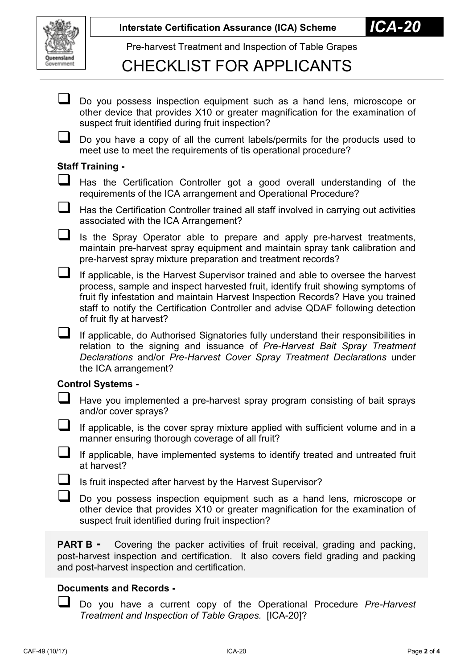

# CHECKLIST FOR APPLICANTS

Do you possess inspection equipment such as a hand lens, microscope or other device that provides X10 or greater magnification for the examination of suspect fruit identified during fruit inspection?

 Do you have a copy of all the current labels/permits for the products used to meet use to meet the requirements of tis operational procedure?

### **Staff Training -**

 Has the Certification Controller got a good overall understanding of the requirements of the ICA arrangement and Operational Procedure?

 Has the Certification Controller trained all staff involved in carrying out activities associated with the ICA Arrangement?

 $\Box$  Is the Spray Operator able to prepare and apply pre-harvest treatments, maintain pre-harvest spray equipment and maintain spray tank calibration and pre-harvest spray mixture preparation and treatment records?

- If applicable, is the Harvest Supervisor trained and able to oversee the harvest process, sample and inspect harvested fruit, identify fruit showing symptoms of fruit fly infestation and maintain Harvest Inspection Records? Have you trained staff to notify the Certification Controller and advise QDAF following detection of fruit fly at harvest?
- If applicable, do Authorised Signatories fully understand their responsibilities in relation to the signing and issuance of *Pre-Harvest Bait Spray Treatment Declarations* and/or *Pre-Harvest Cover Spray Treatment Declarations* under the ICA arrangement?

### **Control Systems -**

- $\Box$  Have you implemented a pre-harvest spray program consisting of bait sprays and/or cover sprays?
- $\Box$  If applicable, is the cover spray mixture applied with sufficient volume and in a manner ensuring thorough coverage of all fruit?
- $\Box$  If applicable, have implemented systems to identify treated and untreated fruit at harvest?
- $\Box$  Is fruit inspected after harvest by the Harvest Supervisor?
- $\Box$  Do you possess inspection equipment such as a hand lens, microscope or other device that provides X10 or greater magnification for the examination of suspect fruit identified during fruit inspection?

**PART B** - Covering the packer activities of fruit receival, grading and packing, post-harvest inspection and certification. It also covers field grading and packing and post-harvest inspection and certification.

### **Documents and Records -**

 Do you have a current copy of the Operational Procedure *Pre-Harvest Treatment and Inspection of Table Grapes.* [ICA-20]?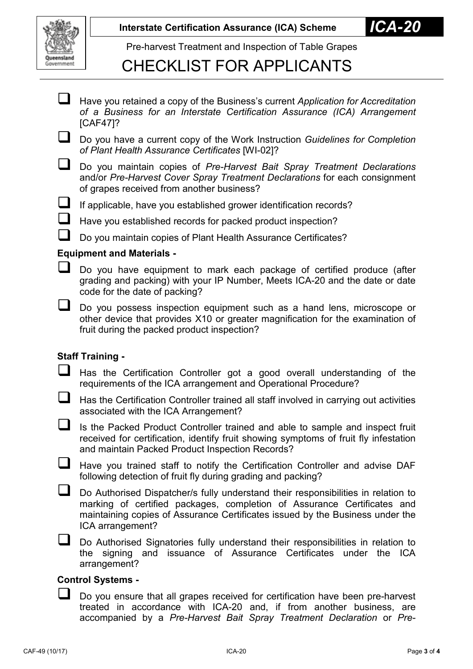

# CHECKLIST FOR APPLICANTS

| $\Box$                           | Have you retained a copy of the Business's current Application for Accreditation<br>of a Business for an Interstate Certification Assurance (ICA) Arrangement<br>$[CAF47]$ ?                            |
|----------------------------------|---------------------------------------------------------------------------------------------------------------------------------------------------------------------------------------------------------|
| $\mathbf{L}$                     | Do you have a current copy of the Work Instruction Guidelines for Completion<br>of Plant Health Assurance Certificates [WI-02]?                                                                         |
| ப                                | Do you maintain copies of Pre-Harvest Bait Spray Treatment Declarations<br>and/or Pre-Harvest Cover Spray Treatment Declarations for each consignment<br>of grapes received from another business?      |
| ⊔                                | If applicable, have you established grower identification records?                                                                                                                                      |
| $\Box$                           | Have you established records for packed product inspection?                                                                                                                                             |
| $\mathcal{L}_{\mathcal{A}}$      | Do you maintain copies of Plant Health Assurance Certificates?                                                                                                                                          |
| <b>Equipment and Materials -</b> |                                                                                                                                                                                                         |
| $\Box$                           | Do you have equipment to mark each package of certified produce (after<br>grading and packing) with your IP Number, Meets ICA-20 and the date or date<br>code for the date of packing?                  |
|                                  | Do you possess inspection equipment such as a hand lens, microscope or<br>other device that provides X10 or greater magnification for the examination of<br>fruit during the packed product inspection? |
| <b>Staff Training -</b>          |                                                                                                                                                                                                         |
| $\mathbf{L}$                     | Has the Certification Controller got a good overall understanding of the<br>requirements of the ICA arrangement and Operational Procedure?                                                              |
|                                  | Has the Certification Controller trained all staff involved in carrying out activities<br>associated with the ICA Arrangement?                                                                          |
|                                  | Is the Packed Product Controller trained and able to sample and inspect fruit<br>received for certification, identify fruit showing symptoms of fruit fly infestation                                   |

and maintain Packed Product Inspection Records?

Have you trained staff to notify the Certification Controller and advise DAF following detection of fruit fly during grading and packing?

 Do Authorised Dispatcher/s fully understand their responsibilities in relation to marking of certified packages, completion of Assurance Certificates and maintaining copies of Assurance Certificates issued by the Business under the ICA arrangement?

Do Authorised Signatories fully understand their responsibilities in relation to the signing and issuance of Assurance Certificates under the ICA arrangement?

### **Control Systems -**

 $\Box$  Do you ensure that all grapes received for certification have been pre-harvest treated in accordance with ICA-20 and, if from another business, are accompanied by a *Pre-Harvest Bait Spray Treatment Declaration* or *Pre-*